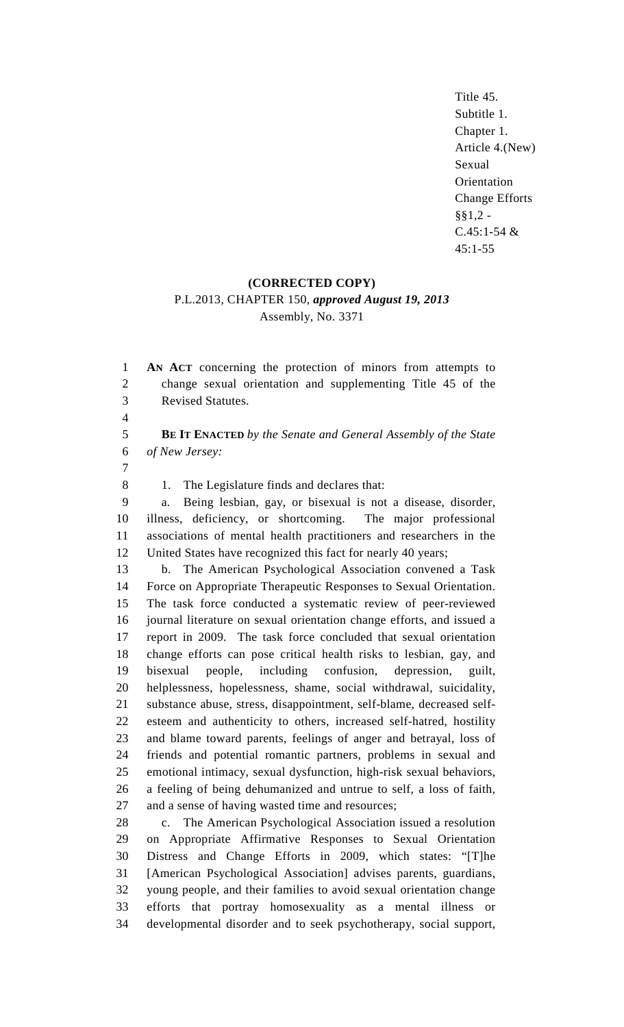Title 45. Subtitle 1. Chapter 1. Article 4.(New) Sexual Orientation Change Efforts §§1,2 - C.45:1-54 & 45:1-55

## **(CORRECTED COPY)**

## P.L.2013, CHAPTER 150, *approved August 19, 2013*

Assembly, No. 3371

1 **AN ACT** concerning the protection of minors from attempts to 2 change sexual orientation and supplementing Title 45 of the 3 Revised Statutes. 4 5 **BE IT ENACTED** *by the Senate and General Assembly of the State*  6 *of New Jersey:* 7 8 1. The Legislature finds and declares that: 9 a. Being lesbian, gay, or bisexual is not a disease, disorder, 10 illness, deficiency, or shortcoming. The major professional 11 associations of mental health practitioners and researchers in the 12 United States have recognized this fact for nearly 40 years; 13 b. The American Psychological Association convened a Task 14 Force on Appropriate Therapeutic Responses to Sexual Orientation. 15 The task force conducted a systematic review of peer-reviewed 16 journal literature on sexual orientation change efforts, and issued a 17 report in 2009. The task force concluded that sexual orientation 18 change efforts can pose critical health risks to lesbian, gay, and 19 bisexual people, including confusion, depression, guilt, 20 helplessness, hopelessness, shame, social withdrawal, suicidality, 21 substance abuse, stress, disappointment, self-blame, decreased self-22 esteem and authenticity to others, increased self-hatred, hostility 23 and blame toward parents, feelings of anger and betrayal, loss of 24 friends and potential romantic partners, problems in sexual and 25 emotional intimacy, sexual dysfunction, high-risk sexual behaviors, 26 a feeling of being dehumanized and untrue to self, a loss of faith, 27 and a sense of having wasted time and resources; 28 c. The American Psychological Association issued a resolution 29 on Appropriate Affirmative Responses to Sexual Orientation 30 Distress and Change Efforts in 2009, which states: "[T]he 31 [American Psychological Association] advises parents, guardians, 32 young people, and their families to avoid sexual orientation change 33 efforts that portray homosexuality as a mental illness or 34 developmental disorder and to seek psychotherapy, social support,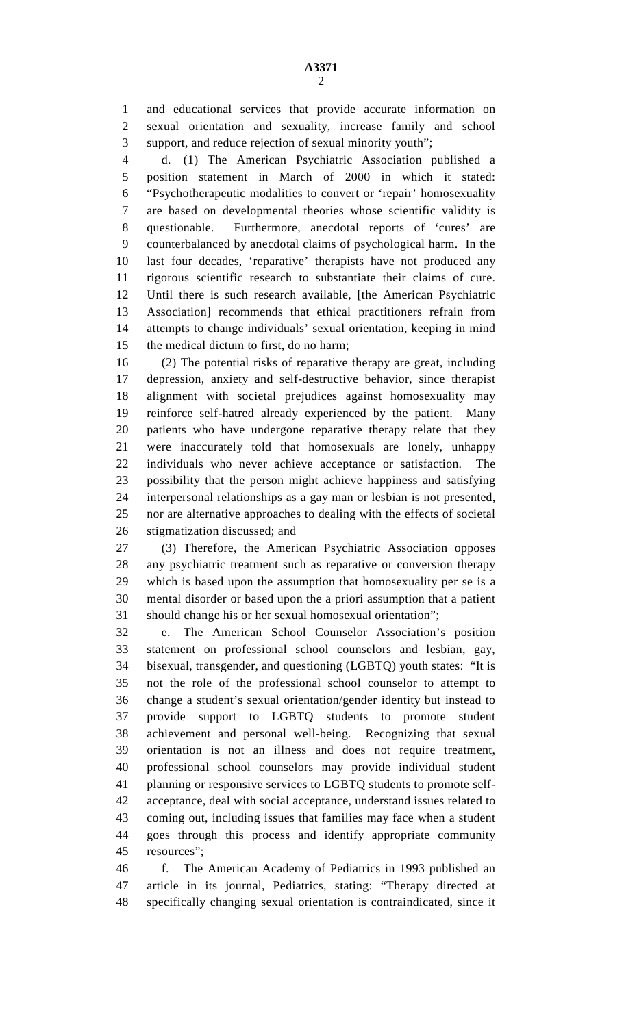1 and educational services that provide accurate information on 2 sexual orientation and sexuality, increase family and school 3 support, and reduce rejection of sexual minority youth";

4 d. (1) The American Psychiatric Association published a 5 position statement in March of 2000 in which it stated: 6 "Psychotherapeutic modalities to convert or 'repair' homosexuality 7 are based on developmental theories whose scientific validity is 8 questionable. Furthermore, anecdotal reports of 'cures' are 9 counterbalanced by anecdotal claims of psychological harm. In the 10 last four decades, 'reparative' therapists have not produced any 11 rigorous scientific research to substantiate their claims of cure. 12 Until there is such research available, [the American Psychiatric 13 Association] recommends that ethical practitioners refrain from 14 attempts to change individuals' sexual orientation, keeping in mind 15 the medical dictum to first, do no harm;

16 (2) The potential risks of reparative therapy are great, including 17 depression, anxiety and self-destructive behavior, since therapist 18 alignment with societal prejudices against homosexuality may 19 reinforce self-hatred already experienced by the patient. Many 20 patients who have undergone reparative therapy relate that they 21 were inaccurately told that homosexuals are lonely, unhappy 22 individuals who never achieve acceptance or satisfaction. The 23 possibility that the person might achieve happiness and satisfying 24 interpersonal relationships as a gay man or lesbian is not presented, 25 nor are alternative approaches to dealing with the effects of societal 26 stigmatization discussed; and

27 (3) Therefore, the American Psychiatric Association opposes 28 any psychiatric treatment such as reparative or conversion therapy 29 which is based upon the assumption that homosexuality per se is a 30 mental disorder or based upon the a priori assumption that a patient 31 should change his or her sexual homosexual orientation";

32 e. The American School Counselor Association's position 33 statement on professional school counselors and lesbian, gay, 34 bisexual, transgender, and questioning (LGBTQ) youth states: "It is 35 not the role of the professional school counselor to attempt to 36 change a student's sexual orientation/gender identity but instead to 37 provide support to LGBTQ students to promote student 38 achievement and personal well-being. Recognizing that sexual 39 orientation is not an illness and does not require treatment, 40 professional school counselors may provide individual student 41 planning or responsive services to LGBTQ students to promote self-42 acceptance, deal with social acceptance, understand issues related to 43 coming out, including issues that families may face when a student 44 goes through this process and identify appropriate community 45 resources";

46 f. The American Academy of Pediatrics in 1993 published an 47 article in its journal, Pediatrics, stating: "Therapy directed at 48 specifically changing sexual orientation is contraindicated, since it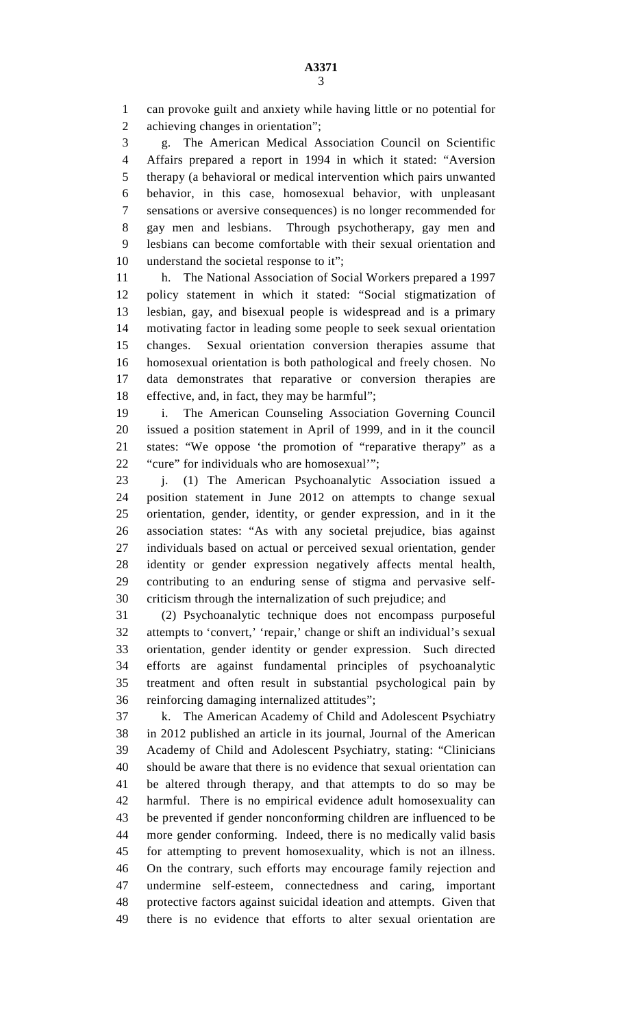1 can provoke guilt and anxiety while having little or no potential for 2 achieving changes in orientation";

3 g. The American Medical Association Council on Scientific 4 Affairs prepared a report in 1994 in which it stated: "Aversion 5 therapy (a behavioral or medical intervention which pairs unwanted 6 behavior, in this case, homosexual behavior, with unpleasant 7 sensations or aversive consequences) is no longer recommended for 8 gay men and lesbians. Through psychotherapy, gay men and 9 lesbians can become comfortable with their sexual orientation and 10 understand the societal response to it";

11 h. The National Association of Social Workers prepared a 1997 12 policy statement in which it stated: "Social stigmatization of 13 lesbian, gay, and bisexual people is widespread and is a primary 14 motivating factor in leading some people to seek sexual orientation 15 changes. Sexual orientation conversion therapies assume that 16 homosexual orientation is both pathological and freely chosen. No 17 data demonstrates that reparative or conversion therapies are 18 effective, and, in fact, they may be harmful";

19 i. The American Counseling Association Governing Council 20 issued a position statement in April of 1999, and in it the council 21 states: "We oppose 'the promotion of "reparative therapy" as a 22 "cure" for individuals who are homosexual'";

23 j. (1) The American Psychoanalytic Association issued a 24 position statement in June 2012 on attempts to change sexual 25 orientation, gender, identity, or gender expression, and in it the 26 association states: "As with any societal prejudice, bias against 27 individuals based on actual or perceived sexual orientation, gender 28 identity or gender expression negatively affects mental health, 29 contributing to an enduring sense of stigma and pervasive self-30 criticism through the internalization of such prejudice; and

31 (2) Psychoanalytic technique does not encompass purposeful 32 attempts to 'convert,' 'repair,' change or shift an individual's sexual 33 orientation, gender identity or gender expression. Such directed 34 efforts are against fundamental principles of psychoanalytic 35 treatment and often result in substantial psychological pain by 36 reinforcing damaging internalized attitudes";

37 k. The American Academy of Child and Adolescent Psychiatry 38 in 2012 published an article in its journal, Journal of the American 39 Academy of Child and Adolescent Psychiatry, stating: "Clinicians 40 should be aware that there is no evidence that sexual orientation can 41 be altered through therapy, and that attempts to do so may be 42 harmful. There is no empirical evidence adult homosexuality can 43 be prevented if gender nonconforming children are influenced to be 44 more gender conforming. Indeed, there is no medically valid basis 45 for attempting to prevent homosexuality, which is not an illness. 46 On the contrary, such efforts may encourage family rejection and 47 undermine self-esteem, connectedness and caring, important 48 protective factors against suicidal ideation and attempts. Given that 49 there is no evidence that efforts to alter sexual orientation are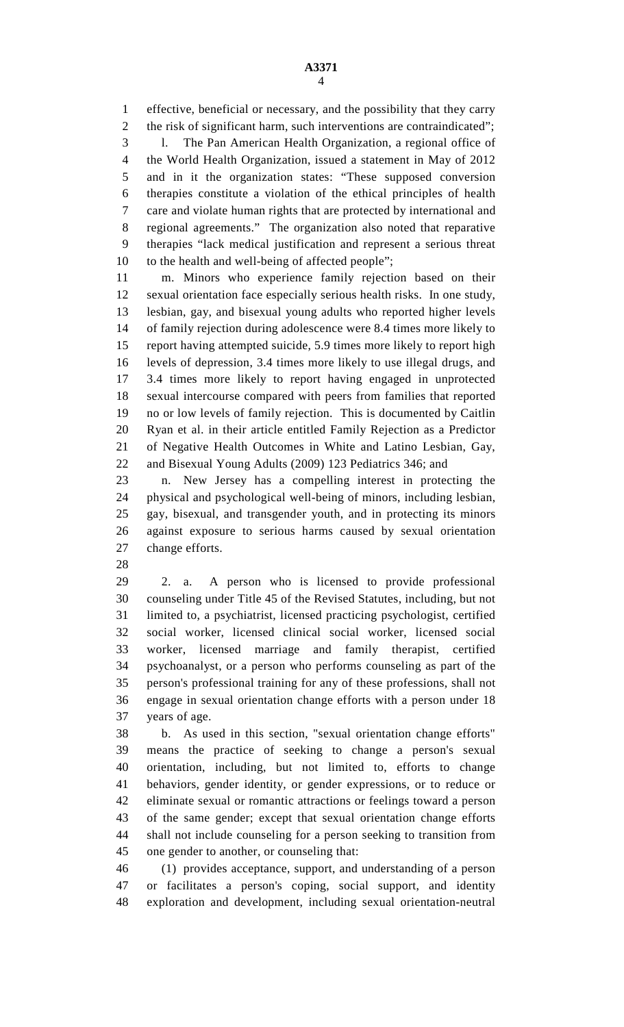1 effective, beneficial or necessary, and the possibility that they carry 2 the risk of significant harm, such interventions are contraindicated"; 3 l. The Pan American Health Organization, a regional office of 4 the World Health Organization, issued a statement in May of 2012 5 and in it the organization states: "These supposed conversion 6 therapies constitute a violation of the ethical principles of health 7 care and violate human rights that are protected by international and 8 regional agreements." The organization also noted that reparative 9 therapies "lack medical justification and represent a serious threat 10 to the health and well-being of affected people";

11 m. Minors who experience family rejection based on their 12 sexual orientation face especially serious health risks. In one study, 13 lesbian, gay, and bisexual young adults who reported higher levels 14 of family rejection during adolescence were 8.4 times more likely to 15 report having attempted suicide, 5.9 times more likely to report high 16 levels of depression, 3.4 times more likely to use illegal drugs, and 17 3.4 times more likely to report having engaged in unprotected 18 sexual intercourse compared with peers from families that reported 19 no or low levels of family rejection. This is documented by Caitlin 20 Ryan et al. in their article entitled Family Rejection as a Predictor 21 of Negative Health Outcomes in White and Latino Lesbian, Gay, 22 and Bisexual Young Adults (2009) 123 Pediatrics 346; and

23 n. New Jersey has a compelling interest in protecting the 24 physical and psychological well-being of minors, including lesbian, 25 gay, bisexual, and transgender youth, and in protecting its minors 26 against exposure to serious harms caused by sexual orientation 27 change efforts.

28

29 2. a. A person who is licensed to provide professional 30 counseling under Title 45 of the Revised Statutes, including, but not 31 limited to, a psychiatrist, licensed practicing psychologist, certified 32 social worker, licensed clinical social worker, licensed social 33 worker, licensed marriage and family therapist, certified 34 psychoanalyst, or a person who performs counseling as part of the 35 person's professional training for any of these professions, shall not 36 engage in sexual orientation change efforts with a person under 18 37 years of age.

38 b. As used in this section, "sexual orientation change efforts" 39 means the practice of seeking to change a person's sexual 40 orientation, including, but not limited to, efforts to change 41 behaviors, gender identity, or gender expressions, or to reduce or 42 eliminate sexual or romantic attractions or feelings toward a person 43 of the same gender; except that sexual orientation change efforts 44 shall not include counseling for a person seeking to transition from 45 one gender to another, or counseling that:

46 (1) provides acceptance, support, and understanding of a person 47 or facilitates a person's coping, social support, and identity 48 exploration and development, including sexual orientation-neutral